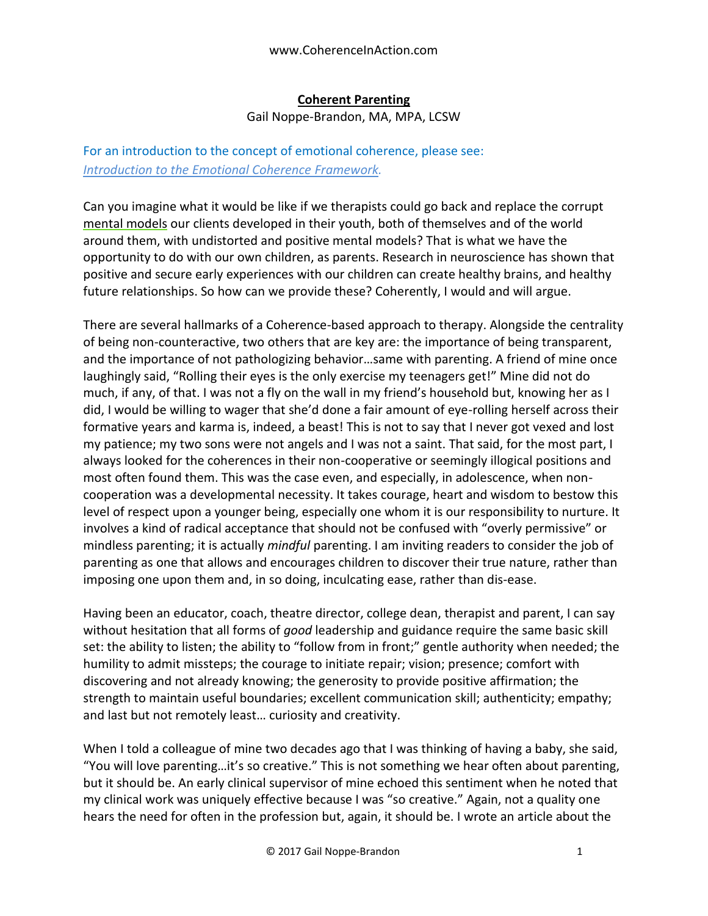## **Coherent Parenting**

Gail Noppe-Brandon, MA, MPA, LCSW

## For an introduction to the concept of emotional coherence, please see: *[Introduction to the Emotional Coherence](https://docs.wixstatic.com/ugd/c5924b_b0a26bc557dd48ac9421975d9b8dce9a.pdf) Framework.*

Can you imagine what it would be like if we therapists could go back and replace the corrupt mental models our clients developed in their youth, both of themselves and of the world around them, with undistorted and positive mental models? That is what we have the opportunity to do with our own children, as parents. Research in neuroscience has shown that positive and secure early experiences with our children can create healthy brains, and healthy future relationships. So how can we provide these? Coherently, I would and will argue.

There are several hallmarks of a Coherence-based approach to therapy. Alongside the centrality of being non-counteractive, two others that are key are: the importance of being transparent, and the importance of not pathologizing behavior…same with parenting. A friend of mine once laughingly said, "Rolling their eyes is the only exercise my teenagers get!" Mine did not do much, if any, of that. I was not a fly on the wall in my friend's household but, knowing her as I did, I would be willing to wager that she'd done a fair amount of eye-rolling herself across their formative years and karma is, indeed, a beast! This is not to say that I never got vexed and lost my patience; my two sons were not angels and I was not a saint. That said, for the most part, I always looked for the coherences in their non-cooperative or seemingly illogical positions and most often found them. This was the case even, and especially, in adolescence, when noncooperation was a developmental necessity. It takes courage, heart and wisdom to bestow this level of respect upon a younger being, especially one whom it is our responsibility to nurture. It involves a kind of radical acceptance that should not be confused with "overly permissive" or mindless parenting; it is actually *mindful* parenting. I am inviting readers to consider the job of parenting as one that allows and encourages children to discover their true nature, rather than imposing one upon them and, in so doing, inculcating ease, rather than dis-ease.

Having been an educator, coach, theatre director, college dean, therapist and parent, I can say without hesitation that all forms of *good* leadership and guidance require the same basic skill set: the ability to listen; the ability to "follow from in front;" gentle authority when needed; the humility to admit missteps; the courage to initiate repair; vision; presence; comfort with discovering and not already knowing; the generosity to provide positive affirmation; the strength to maintain useful boundaries; excellent communication skill; authenticity; empathy; and last but not remotely least… curiosity and creativity.

When I told a colleague of mine two decades ago that I was thinking of having a baby, she said, "You will love parenting…it's so creative." This is not something we hear often about parenting, but it should be. An early clinical supervisor of mine echoed this sentiment when he noted that my clinical work was uniquely effective because I was "so creative." Again, not a quality one hears the need for often in the profession but, again, it should be. I wrote an article about the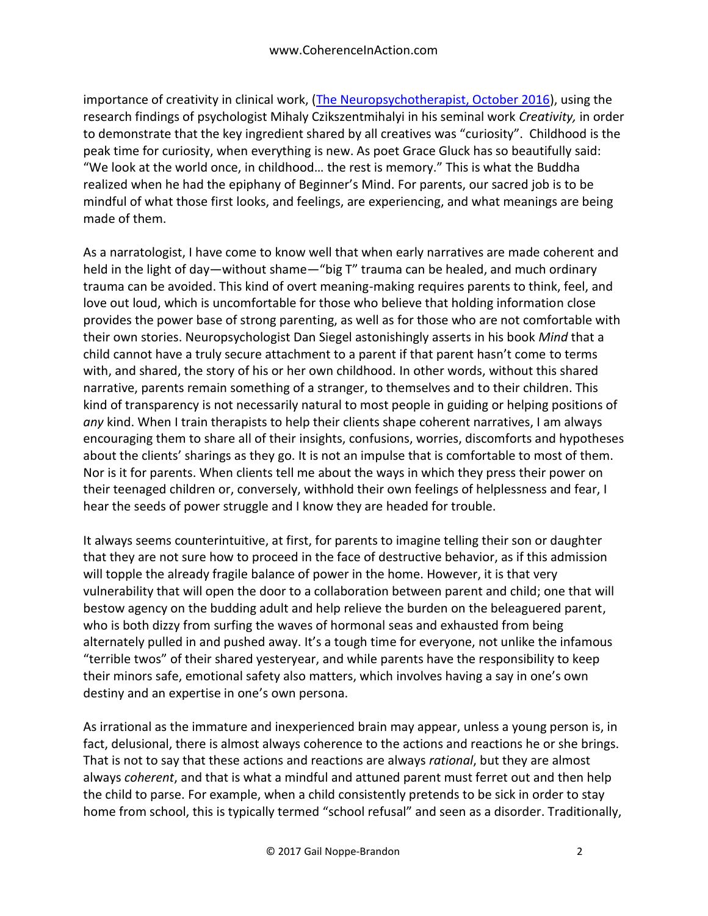importance of creativity in clinical work, [\(The Neuropsychotherapist, October 2016\)](https://static1.squarespace.com/static/50ec5007e4b0913e9987a1bd/t/57fc6b83725e25bf8061a132/1476160393874/TNPTVol4Issue10pp18-31.pdf), using the research findings of psychologist Mihaly Czikszentmihalyi in his seminal work *Creativity,* in order to demonstrate that the key ingredient shared by all creatives was "curiosity". Childhood is the peak time for curiosity, when everything is new. As poet Grace Gluck has so beautifully said: "We look at the world once, in childhood… the rest is memory." This is what the Buddha realized when he had the epiphany of Beginner's Mind. For parents, our sacred job is to be mindful of what those first looks, and feelings, are experiencing, and what meanings are being made of them.

As a narratologist, I have come to know well that when early narratives are made coherent and held in the light of day—without shame—"big T" trauma can be healed, and much ordinary trauma can be avoided. This kind of overt meaning-making requires parents to think, feel, and love out loud, which is uncomfortable for those who believe that holding information close provides the power base of strong parenting, as well as for those who are not comfortable with their own stories. Neuropsychologist Dan Siegel astonishingly asserts in his book *Mind* that a child cannot have a truly secure attachment to a parent if that parent hasn't come to terms with, and shared, the story of his or her own childhood. In other words, without this shared narrative, parents remain something of a stranger, to themselves and to their children. This kind of transparency is not necessarily natural to most people in guiding or helping positions of *any* kind. When I train therapists to help their clients shape coherent narratives, I am always encouraging them to share all of their insights, confusions, worries, discomforts and hypotheses about the clients' sharings as they go. It is not an impulse that is comfortable to most of them. Nor is it for parents. When clients tell me about the ways in which they press their power on their teenaged children or, conversely, withhold their own feelings of helplessness and fear, I hear the seeds of power struggle and I know they are headed for trouble.

It always seems counterintuitive, at first, for parents to imagine telling their son or daughter that they are not sure how to proceed in the face of destructive behavior, as if this admission will topple the already fragile balance of power in the home. However, it is that very vulnerability that will open the door to a collaboration between parent and child; one that will bestow agency on the budding adult and help relieve the burden on the beleaguered parent, who is both dizzy from surfing the waves of hormonal seas and exhausted from being alternately pulled in and pushed away. It's a tough time for everyone, not unlike the infamous "terrible twos" of their shared yesteryear, and while parents have the responsibility to keep their minors safe, emotional safety also matters, which involves having a say in one's own destiny and an expertise in one's own persona.

As irrational as the immature and inexperienced brain may appear, unless a young person is, in fact, delusional, there is almost always coherence to the actions and reactions he or she brings. That is not to say that these actions and reactions are always *rational*, but they are almost always *coherent*, and that is what a mindful and attuned parent must ferret out and then help the child to parse. For example, when a child consistently pretends to be sick in order to stay home from school, this is typically termed "school refusal" and seen as a disorder. Traditionally,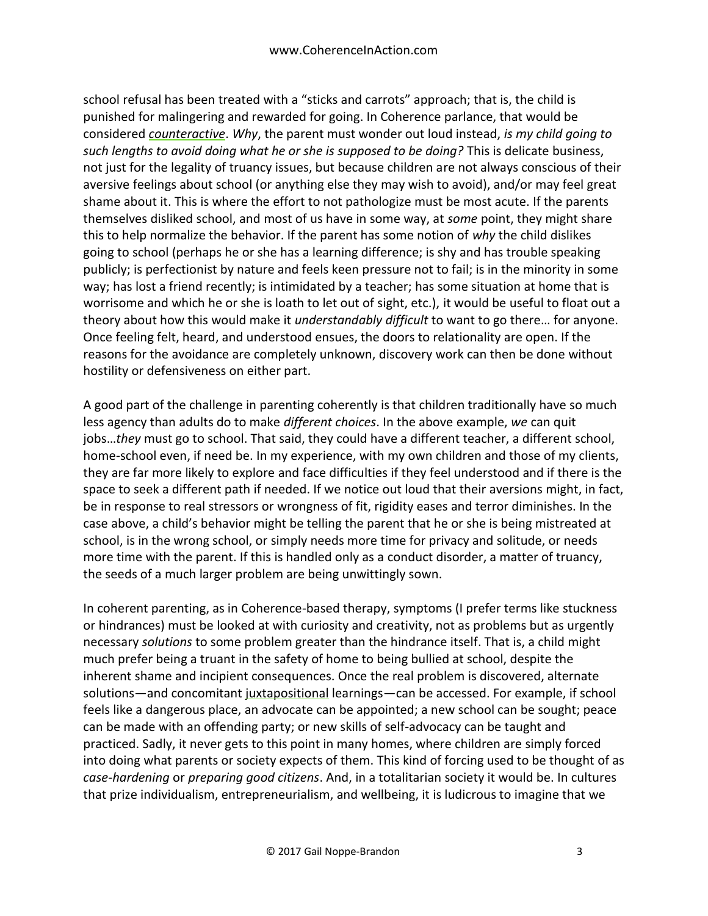school refusal has been treated with a "sticks and carrots" approach; that is, the child is punished for malingering and rewarded for going. In Coherence parlance, that would be considered *counteractive*. *Why*, the parent must wonder out loud instead, *is my child going to such lengths to avoid doing what he or she is supposed to be doing?* This is delicate business, not just for the legality of truancy issues, but because children are not always conscious of their aversive feelings about school (or anything else they may wish to avoid), and/or may feel great shame about it. This is where the effort to not pathologize must be most acute. If the parents themselves disliked school, and most of us have in some way, at *some* point, they might share this to help normalize the behavior. If the parent has some notion of *why* the child dislikes going to school (perhaps he or she has a learning difference; is shy and has trouble speaking publicly; is perfectionist by nature and feels keen pressure not to fail; is in the minority in some way; has lost a friend recently; is intimidated by a teacher; has some situation at home that is worrisome and which he or she is loath to let out of sight, etc.), it would be useful to float out a theory about how this would make it *understandably difficult* to want to go there… for anyone. Once feeling felt, heard, and understood ensues, the doors to relationality are open. If the reasons for the avoidance are completely unknown, discovery work can then be done without hostility or defensiveness on either part.

A good part of the challenge in parenting coherently is that children traditionally have so much less agency than adults do to make *different choices*. In the above example, *we* can quit jobs…*they* must go to school. That said, they could have a different teacher, a different school, home-school even, if need be. In my experience, with my own children and those of my clients, they are far more likely to explore and face difficulties if they feel understood and if there is the space to seek a different path if needed. If we notice out loud that their aversions might, in fact, be in response to real stressors or wrongness of fit, rigidity eases and terror diminishes. In the case above, a child's behavior might be telling the parent that he or she is being mistreated at school, is in the wrong school, or simply needs more time for privacy and solitude, or needs more time with the parent. If this is handled only as a conduct disorder, a matter of truancy, the seeds of a much larger problem are being unwittingly sown.

In coherent parenting, as in Coherence-based therapy, symptoms (I prefer terms like stuckness or hindrances) must be looked at with curiosity and creativity, not as problems but as urgently necessary *solutions* to some problem greater than the hindrance itself. That is, a child might much prefer being a truant in the safety of home to being bullied at school, despite the inherent shame and incipient consequences. Once the real problem is discovered, alternate solutions—and concomitant juxtapositional learnings—can be accessed. For example, if school feels like a dangerous place, an advocate can be appointed; a new school can be sought; peace can be made with an offending party; or new skills of self-advocacy can be taught and practiced. Sadly, it never gets to this point in many homes, where children are simply forced into doing what parents or society expects of them. This kind of forcing used to be thought of as *case-hardening* or *preparing good citizens*. And, in a totalitarian society it would be. In cultures that prize individualism, entrepreneurialism, and wellbeing, it is ludicrous to imagine that we